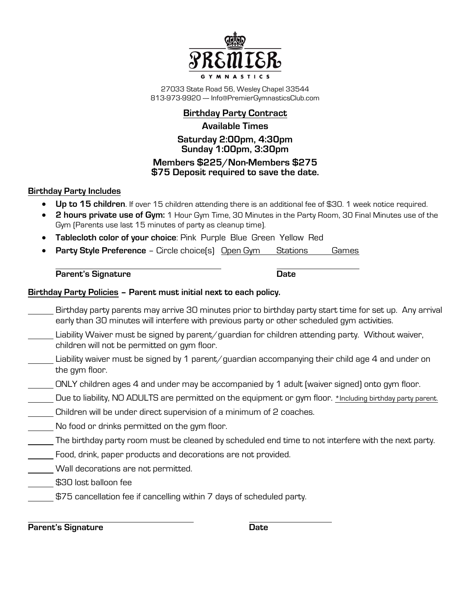

27033 State Road 56, Wesley Chapel 33544 813-973-9920 --- Info@PremierGymnasticsClub.com

## **Birthday Party Contract**

### **Available Times**

### **Saturday 2:00pm, 4:30pm Sunday 1:00pm, 3:30pm Members \$225/Non-Members \$275**

# **\$75 Deposit required to save the date.**

### **Birthday Party Includes**

- **Up to 15 children**. If over 15 children attending there is an additional fee of \$30. 1 week notice required.
- **2 hours private use of Gym:** 1 Hour Gym Time, 30 Minutes in the Party Room, 30 Final Minutes use of the Gym (Parents use last 15 minutes of party as cleanup time).
- **Tablecloth color of your choice**: Pink Purple Blue Green Yellow Red
- **Party Style Preference Circle choice(s) Open Gym Stations Games**

**Parent's Signature Date** 

### **Birthday Party Policies – Parent must initial next to each policy.**

- Birthday party parents may arrive 30 minutes prior to birthday party start time for set up. Any arrival early than 30 minutes will interfere with previous party or other scheduled gym activities.
- Liability Waiver must be signed by parent/guardian for children attending party. Without waiver, children will not be permitted on gym floor.
- Liability waiver must be signed by 1 parent/guardian accompanying their child age 4 and under on the gym floor.
- ONLY children ages 4 and under may be accompanied by 1 adult (waiver signed) onto gym floor.
- Due to liability, NO ADULTS are permitted on the equipment or gym floor. \*Including birthday party parent.
- Children will be under direct supervision of a minimum of 2 coaches.
- No food or drinks permitted on the gym floor.
- The birthday party room must be cleaned by scheduled end time to not interfere with the next party.
- Food, drink, paper products and decorations are not provided.
- Wall decorations are not permitted.
- \$30 lost balloon fee
- \$75 cancellation fee if cancelling within 7 days of scheduled party.

**Parent's Signature Date**